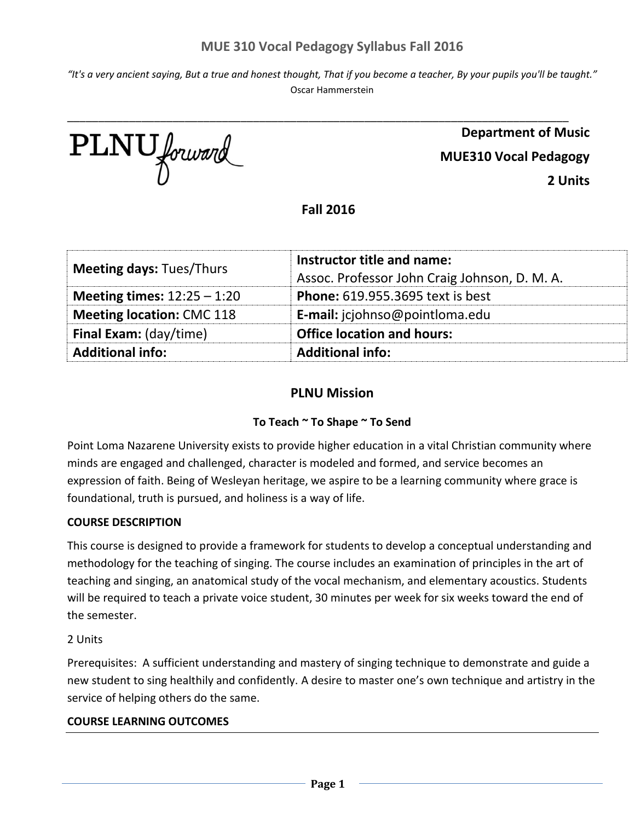*"It's a very ancient saying, But a true and honest thought, That if you become a teacher, By your pupils you'll be taught."*  Oscar Hammerstein

\_\_\_\_\_\_\_\_\_\_\_\_\_\_\_\_\_\_\_\_\_\_\_\_\_\_\_\_\_\_\_\_\_\_\_\_\_\_\_\_\_\_\_\_\_\_\_\_\_\_\_\_\_\_\_\_\_\_\_\_\_\_\_\_\_\_\_\_\_\_\_\_\_\_\_\_\_\_\_\_\_

PLNU forward

**Department of Music MUE310 Vocal Pedagogy 2 Units**

**Fall 2016**

| <b>Meeting days: Tues/Thurs</b>      | Instructor title and name:<br>Assoc. Professor John Craig Johnson, D. M. A. |  |
|--------------------------------------|-----------------------------------------------------------------------------|--|
| <b>Meeting times:</b> $12:25 - 1:20$ | <b>Phone:</b> 619.955.3695 text is best                                     |  |
| <b>Meeting location: CMC 118</b>     | <b>E-mail:</b> jcjohnso@pointloma.edu                                       |  |
| <b>Final Exam:</b> (day/time)        | <b>Office location and hours:</b>                                           |  |
| <b>Additional info:</b>              | <b>Additional info:</b>                                                     |  |

# **PLNU Mission**

# **To Teach ~ To Shape ~ To Send**

Point Loma Nazarene University exists to provide higher education in a vital Christian community where minds are engaged and challenged, character is modeled and formed, and service becomes an expression of faith. Being of Wesleyan heritage, we aspire to be a learning community where grace is foundational, truth is pursued, and holiness is a way of life.

## **COURSE DESCRIPTION**

This course is designed to provide a framework for students to develop a conceptual understanding and methodology for the teaching of singing. The course includes an examination of principles in the art of teaching and singing, an anatomical study of the vocal mechanism, and elementary acoustics. Students will be required to teach a private voice student, 30 minutes per week for six weeks toward the end of the semester.

## 2 Units

Prerequisites: A sufficient understanding and mastery of singing technique to demonstrate and guide a new student to sing healthily and confidently. A desire to master one's own technique and artistry in the service of helping others do the same.

## **COURSE LEARNING OUTCOMES**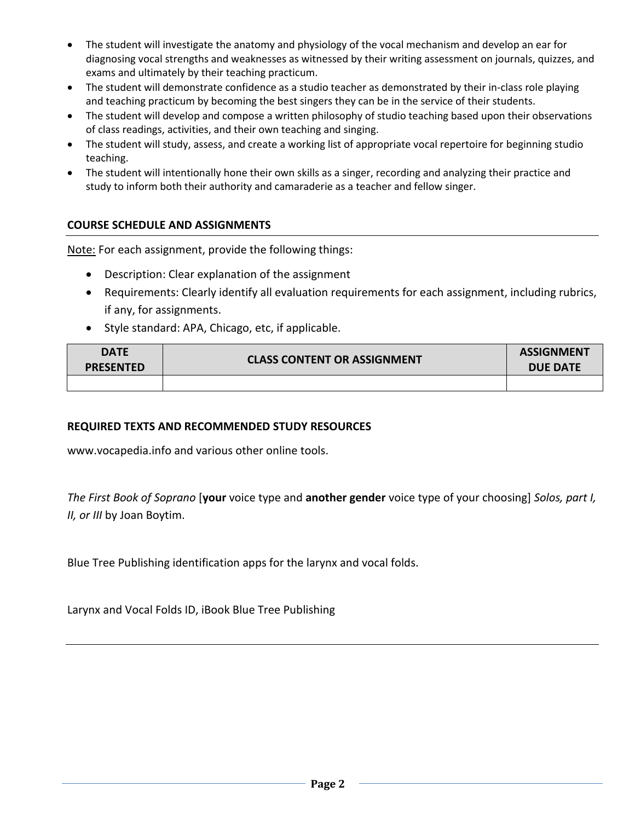- The student will investigate the anatomy and physiology of the vocal mechanism and develop an ear for diagnosing vocal strengths and weaknesses as witnessed by their writing assessment on journals, quizzes, and exams and ultimately by their teaching practicum.
- The student will demonstrate confidence as a studio teacher as demonstrated by their in-class role playing and teaching practicum by becoming the best singers they can be in the service of their students.
- The student will develop and compose a written philosophy of studio teaching based upon their observations of class readings, activities, and their own teaching and singing.
- The student will study, assess, and create a working list of appropriate vocal repertoire for beginning studio teaching.
- The student will intentionally hone their own skills as a singer, recording and analyzing their practice and study to inform both their authority and camaraderie as a teacher and fellow singer.

## **COURSE SCHEDULE AND ASSIGNMENTS**

Note: For each assignment, provide the following things:

- Description: Clear explanation of the assignment
- Requirements: Clearly identify all evaluation requirements for each assignment, including rubrics, if any, for assignments.
- Style standard: APA, Chicago, etc, if applicable.

| <b>DATE</b><br><b>PRESENTED</b> | <b>CLASS CONTENT OR ASSIGNMENT</b> | <b>ASSIGNMENT</b><br><b>DUE DATE</b> |
|---------------------------------|------------------------------------|--------------------------------------|
|                                 |                                    |                                      |

#### **REQUIRED TEXTS AND RECOMMENDED STUDY RESOURCES**

www.vocapedia.info and various other online tools.

*The First Book of Soprano* [**your** voice type and **another gender** voice type of your choosing] *Solos, part I, II, or III* by Joan Boytim.

Blue Tree Publishing identification apps for the larynx and vocal folds.

Larynx and Vocal Folds ID, iBook Blue Tree Publishing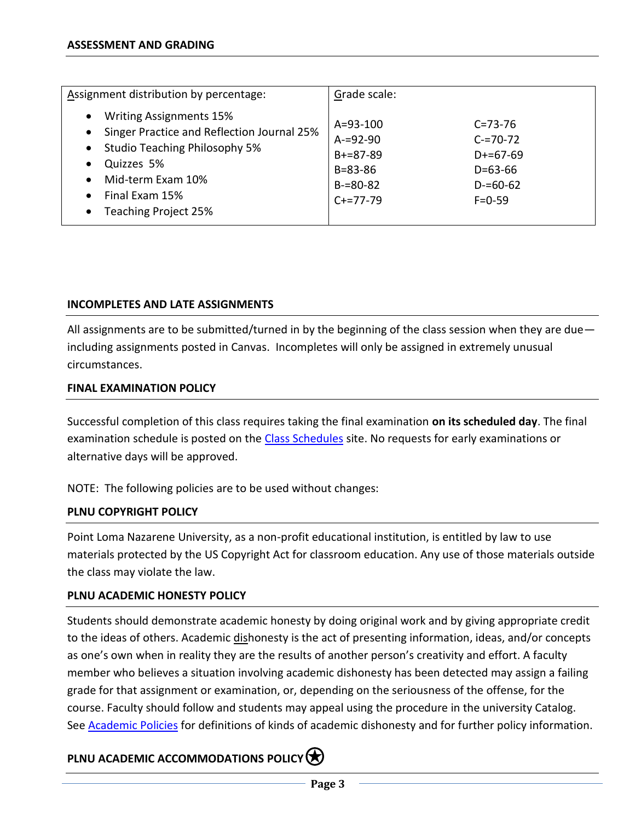| Assignment distribution by percentage:                                                                                                                                                                                                                                 | Grade scale:                                                                                  |                                                                                                |
|------------------------------------------------------------------------------------------------------------------------------------------------------------------------------------------------------------------------------------------------------------------------|-----------------------------------------------------------------------------------------------|------------------------------------------------------------------------------------------------|
| <b>Writing Assignments 15%</b><br>$\bullet$<br>• Singer Practice and Reflection Journal 25%<br>• Studio Teaching Philosophy 5%<br>Quizzes 5%<br>$\bullet$<br>Mid-term Exam 10%<br>$\bullet$<br>Final Exam 15%<br>$\bullet$<br><b>Teaching Project 25%</b><br>$\bullet$ | $A = 93 - 100$<br>$A = 92 - 90$<br>$B+=87-89$<br>$B = 83 - 86$<br>$B = 80 - 82$<br>$C+=77-79$ | $C = 73 - 76$<br>$C = 70 - 72$<br>$D+ = 67-69$<br>$D = 63 - 66$<br>$D = 60 - 62$<br>$F = 0.59$ |

#### **INCOMPLETES AND LATE ASSIGNMENTS**

All assignments are to be submitted/turned in by the beginning of the class session when they are due including assignments posted in Canvas. Incompletes will only be assigned in extremely unusual circumstances.

#### **FINAL EXAMINATION POLICY**

Successful completion of this class requires taking the final examination **on its scheduled day**. The final examination schedule is posted on the [Class Schedules](http://www.pointloma.edu/experience/academics/class-schedules) site. No requests for early examinations or alternative days will be approved.

NOTE: The following policies are to be used without changes:

#### **PLNU COPYRIGHT POLICY**

Point Loma Nazarene University, as a non-profit educational institution, is entitled by law to use materials protected by the US Copyright Act for classroom education. Any use of those materials outside the class may violate the law.

#### **PLNU ACADEMIC HONESTY POLICY**

Students should demonstrate academic honesty by doing original work and by giving appropriate credit to the ideas of others. Academic dishonesty is the act of presenting information, ideas, and/or concepts as one's own when in reality they are the results of another person's creativity and effort. A faculty member who believes a situation involving academic dishonesty has been detected may assign a failing grade for that assignment or examination, or, depending on the seriousness of the offense, for the course. Faculty should follow and students may appeal using the procedure in the university Catalog. See [Academic Policies](http://catalog.pointloma.edu/content.php?catoid=18&navoid=1278) for definitions of kinds of academic dishonesty and for further policy information.

## **PLNU ACADEMIC ACCOMMODATIONS POLICY**⍟